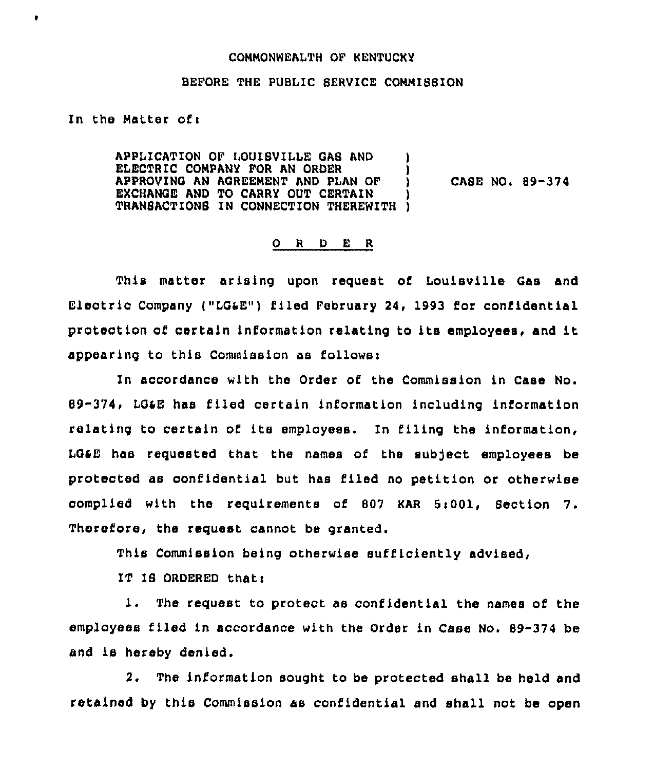## COMMONWEALTH OF KENTUCKY

## BEFORE THE PUBLIC SERVICE COMMI88ION

## In the Matter ofi

b.

APPLICATION OF LOUISVILLE OAS AND ) ELECTRIC COMPANY FOR AN ORDER  $\begin{array}{c} \texttt{i} \ \texttt{j} \ \texttt{APPROVING} \ \texttt{AN} \ \texttt{AGREEMENT} \ \texttt{AND} \ \texttt{PLAN} \ \texttt{OF} \end{array}$ APPROVING AN AGREEMENT AND PLAN OF ) EXCHANGE AND TO CARRY OUT CERTAIN TRANSACTIONS IN CONNECTION THEREWITH )

CASE NO. 89-374

## 0 <sup>R</sup> <sup>D</sup> <sup>E</sup> <sup>R</sup>

This matter arising upon request of Louisville Gas and Electric Company ("LG&E") filed February 24, 1993 for confidential protection of certain information relating to ita employees, and it appearing to this Commission as follows:

In accordance with the Order of the Commission in Case No. 89-374, LG48 has filed certain information including information relating to certain of its employees. In filing the information, LG&E has requested that the names of the subject employees be protected as confidential but has filed no petition or otherwise complied with the requirements of <sup>807</sup> KAR 5i001, Section 7. Therefore, the request cannot be granted.

This Commission being otherwise sufficiently advised,

IT IS ORDERED that:

1. The request to protect as confidential the names of the employees filed in accordance with the Order in Case No. 89-374 be and is hereby denied.

2. The information sought to be protected shall be held and retained by this Commission as confidential and shall not be open